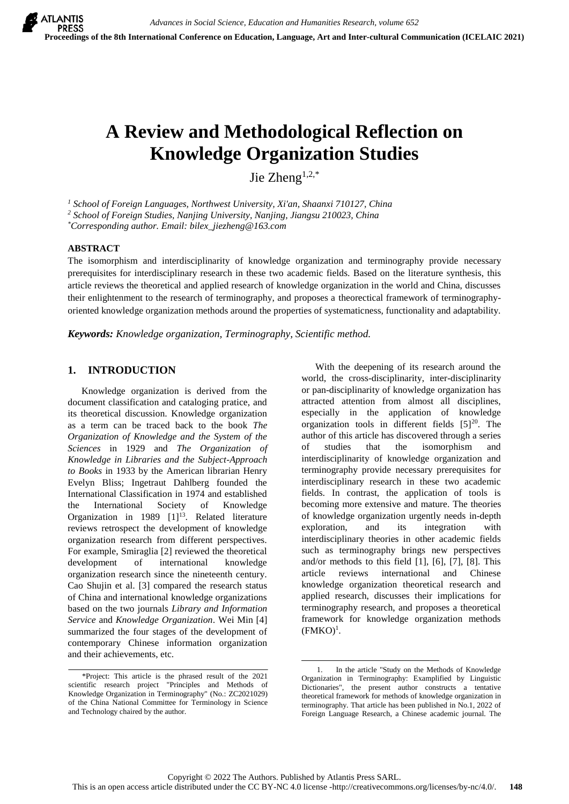# **A Review and Methodological Reflection on Knowledge Organization Studies**

Jie Zheng $1,2,*$ 

*<sup>1</sup> School of Foreign Languages, Northwest University, Xi'an, Shaanxi 710127, China*

*<sup>2</sup> School of Foreign Studies, Nanjing University, Nanjing, Jiangsu 210023, China*

*\*Corresponding author. Email: bilex\_jiezheng@163.com*

#### **ABSTRACT**

The isomorphism and interdisciplinarity of knowledge organization and terminography provide necessary prerequisites for interdisciplinary research in these two academic fields. Based on the literature synthesis, this article reviews the theoretical and applied research of knowledge organization in the world and China, discusses their enlightenment to the research of terminography, and proposes a theorectical framework of terminographyoriented knowledge organization methods around the properties of systematicness, functionality and adaptability.

*Keywords: Knowledge organization, Terminography, Scientific method.*

## **1. INTRODUCTION**

Knowledge organization is derived from the document classification and cataloging pratice, and its theoretical discussion. Knowledge organization as a term can be traced back to the book *The Organization of Knowledge and the System of the Sciences* in 1929 and *The Organization of Knowledge in Libraries and the Subject-Approach to Books* in 1933 by the American librarian Henry Evelyn Bliss; Ingetraut Dahlberg founded the International Classification in 1974 and established the International Society of Knowledge Organization in 1989  $[1]^{13}$ . Related literature reviews retrospect the development of knowledge organization research from different perspectives. For example, Smiraglia [2] reviewed the theoretical development of international knowledge organization research since the nineteenth century. Cao Shujin et al. [3] compared the research status of China and international knowledge organizations based on the two journals *Library and Information Service* and *Knowledge Organization*. Wei Min [4] summarized the four stages of the development of contemporary Chinese information organization and their achievements, etc.

With the deepening of its research around the world, the cross-disciplinarity, inter-disciplinarity or pan-disciplinarity of knowledge organization has attracted attention from almost all disciplines, especially in the application of knowledge organization tools in different fields  $[5]^{20}$ . The author of this article has discovered through a series of studies that the isomorphism and interdisciplinarity of knowledge organization and terminography provide necessary prerequisites for interdisciplinary research in these two academic fields. In contrast, the application of tools is becoming more extensive and mature. The theories of knowledge organization urgently needs in-depth exploration, and its integration with interdisciplinary theories in other academic fields such as terminography brings new perspectives and/or methods to this field [1], [6], [7], [8]. This article reviews international and Chinese knowledge organization theoretical research and applied research, discusses their implications for terminography research, and proposes a theoretical framework for knowledge organization methods  $(FMKO)^1$ .

<sup>\*</sup>Project: This article is the phrased result of the 2021 scientific research project "Principles and Methods of Knowledge Organization in Terminography" (No.: ZC2021029) of the China National Committee for Terminology in Science and Technology chaired by the author.

<sup>&</sup>lt;u>.</u> In the article "Study on the Methods of Knowledge Organization in Terminography: Examplified by Linguistic Dictionaries", the present author constructs a tentative theoretical framework for methods of knowledge organization in terminography. That article has been published in No.1, 2022 of Foreign Language Research, a Chinese academic journal. The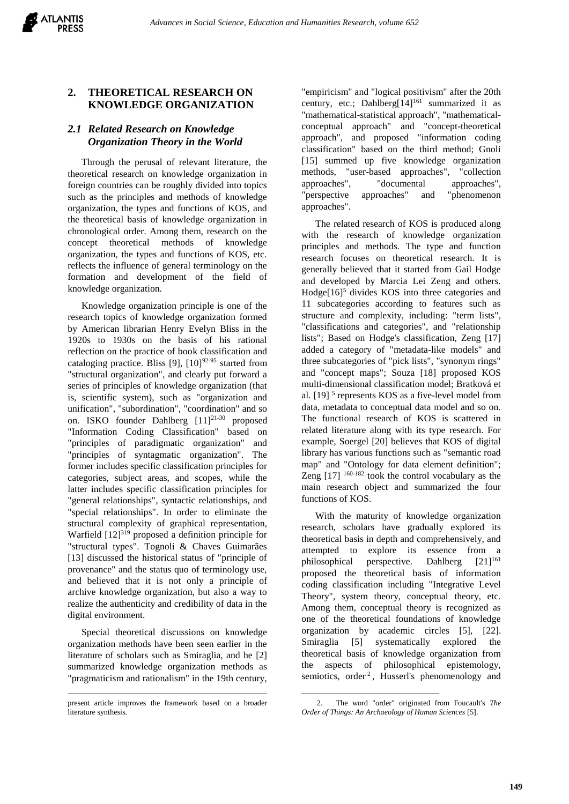## **2. THEORETICAL RESEARCH ON KNOWLEDGE ORGANIZATION**

## *2.1 Related Research on Knowledge Organization Theory in the World*

Through the perusal of relevant literature, the theoretical research on knowledge organization in foreign countries can be roughly divided into topics such as the principles and methods of knowledge organization, the types and functions of KOS, and the theoretical basis of knowledge organization in chronological order. Among them, research on the concept theoretical methods of knowledge organization, the types and functions of KOS, etc. reflects the influence of general terminology on the formation and development of the field of knowledge organization.

Knowledge organization principle is one of the research topics of knowledge organization formed by American librarian Henry Evelyn Bliss in the 1920s to 1930s on the basis of his rational reflection on the practice of book classification and cataloging practice. Bliss [9],  $[10]^{92-95}$  started from "structural organization", and clearly put forward a series of principles of knowledge organization (that is, scientific system), such as "organization and unification", "subordination", "coordination" and so on. ISKO founder Dahlberg  $[11]^{21-30}$  proposed "Information Coding Classification" based on "principles of paradigmatic organization" and "principles of syntagmatic organization". The former includes specific classification principles for categories, subject areas, and scopes, while the latter includes specific classification principles for "general relationships", syntactic relationships, and "special relationships". In order to eliminate the structural complexity of graphical representation, Warfield [12]<sup>319</sup> proposed a definition principle for "structural types". Tognoli & Chaves Guimarães [13] discussed the historical status of "principle of provenance" and the status quo of terminology use, and believed that it is not only a principle of archive knowledge organization, but also a way to realize the authenticity and credibility of data in the digital environment.

Special theoretical discussions on knowledge organization methods have been seen earlier in the literature of scholars such as Smiraglia, and he [2] summarized knowledge organization methods as "pragmaticism and rationalism" in the 19th century,

l

"empiricism" and "logical positivism" after the 20th century, etc.; Dahlberg $[14]^{161}$  summarized it as "mathematical-statistical approach", "mathematicalconceptual approach" and "concept-theoretical approach", and proposed "information coding classification" based on the third method; Gnoli [15] summed up five knowledge organization methods, "user-based approaches", "collection approaches", "documental approaches", "perspective approaches" and "phenomenon approaches".

The related research of KOS is produced along with the research of knowledge organization principles and methods. The type and function research focuses on theoretical research. It is generally believed that it started from Gail Hodge and developed by Marcia Lei Zeng and others.  $Hodge[16]$ <sup>5</sup> divides KOS into three categories and 11 subcategories according to features such as structure and complexity, including: "term lists", "classifications and categories", and "relationship lists"; Based on Hodge's classification, Zeng [17] added a category of "metadata-like models" and three subcategories of "pick lists", "synonym rings" and "concept maps"; Souza [18] proposed KOS multi-dimensional classification model; Bratková et al. [19]<sup>5</sup> represents KOS as a five-level model from data, metadata to conceptual data model and so on. The functional research of KOS is scattered in related literature along with its type research. For example, Soergel [20] believes that KOS of digital library has various functions such as "semantic road map" and "Ontology for data element definition"; Zeng  $[17]$  <sup>160-182</sup> took the control vocabulary as the main research object and summarized the four functions of KOS.

With the maturity of knowledge organization research, scholars have gradually explored its theoretical basis in depth and comprehensively, and attempted to explore its essence from a philosophical perspective. Dahlberg  $[21]^{161}$ proposed the theoretical basis of information coding classification including "Integrative Level Theory", system theory, conceptual theory, etc. Among them, conceptual theory is recognized as one of the theoretical foundations of knowledge organization by academic circles [5], [22]. Smiraglia [5] systematically explored the theoretical basis of knowledge organization from the aspects of philosophical epistemology, semiotics, order<sup>2</sup>, Husserl's phenomenology and

present article improves the framework based on a broader literature synthesis.

<sup>&</sup>lt;u>.</u> 2. The word "order" originated from Foucault's *The Order of Things: An Archaeology of Human Sciences* [5].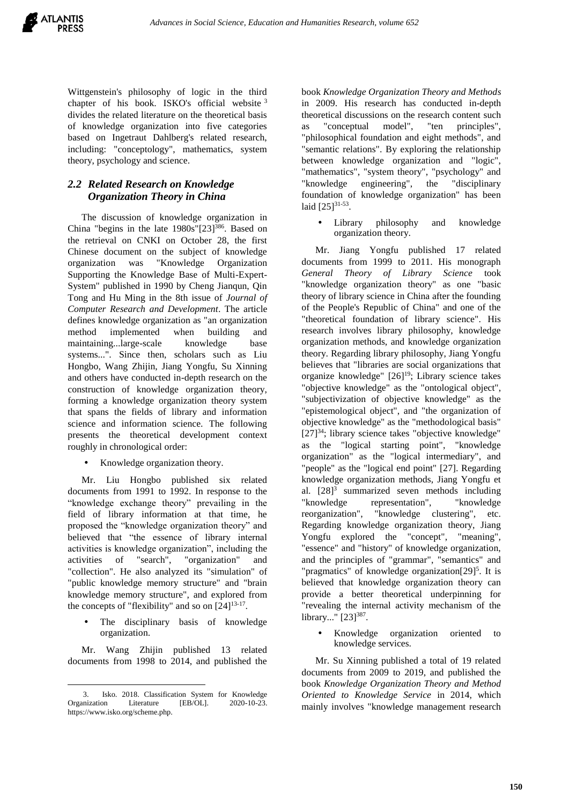

Wittgenstein's philosophy of logic in the third chapter of his book. ISKO's official website <sup>3</sup> divides the related literature on the theoretical basis of knowledge organization into five categories based on Ingetraut Dahlberg's related research, including: "conceptology", mathematics, system theory, psychology and science.

### *2.2 Related Research on Knowledge Organization Theory in China*

The discussion of knowledge organization in China "begins in the late 1980s"[23] <sup>386</sup>. Based on the retrieval on CNKI on October 28, the first Chinese document on the subject of knowledge organization was "Knowledge Organization Supporting the Knowledge Base of Multi-Expert-System" published in 1990 by Cheng Jianqun, Qin Tong and Hu Ming in the 8th issue of *Journal of Computer Research and Development*. The article defines knowledge organization as "an organization method implemented when building and maintaining...large-scale knowledge base systems...". Since then, scholars such as Liu Hongbo, Wang Zhijin, Jiang Yongfu, Su Xinning and others have conducted in-depth research on the construction of knowledge organization theory, forming a knowledge organization theory system that spans the fields of library and information science and information science. The following presents the theoretical development context roughly in chronological order:

Knowledge organization theory.

Mr. Liu Hongbo published six related documents from 1991 to 1992. In response to the "knowledge exchange theory" prevailing in the field of library information at that time, he proposed the "knowledge organization theory" and believed that "the essence of library internal activities is knowledge organization", including the activities of "search", "organization" and "collection". He also analyzed its "simulation" of "public knowledge memory structure" and "brain knowledge memory structure", and explored from the concepts of "flexibility" and so on  $[24]^{13-17}$ .

 The disciplinary basis of knowledge organization.

Mr. Wang Zhijin published 13 related documents from 1998 to 2014, and published the

 $\overline{a}$ 

book *Knowledge Organization Theory and Methods* in 2009. His research has conducted in-depth theoretical discussions on the research content such as "conceptual model", "ten principles", "philosophical foundation and eight methods", and "semantic relations". By exploring the relationship between knowledge organization and "logic", "mathematics", "system theory", "psychology" and "knowledge engineering", the "disciplinary foundation of knowledge organization" has been laid  $[25]^{31-53}$ .

 Library philosophy and knowledge organization theory.

Mr. Jiang Yongfu published 17 related documents from 1999 to 2011. His monograph *General Theory of Library Science* took "knowledge organization theory" as one "basic theory of library science in China after the founding of the People's Republic of China" and one of the "theoretical foundation of library science". His research involves library philosophy, knowledge organization methods, and knowledge organization theory. Regarding library philosophy, Jiang Yongfu believes that "libraries are social organizations that organize knowledge" [26] <sup>19</sup>; Library science takes "objective knowledge" as the "ontological object", "subjectivization of objective knowledge" as the "epistemological object", and "the organization of objective knowledge" as the "methodological basis" [27] <sup>34</sup>; library science takes "objective knowledge" as the "logical starting point", "knowledge organization" as the "logical intermediary", and "people" as the "logical end point" [27]. Regarding knowledge organization methods, Jiang Yongfu et al.  $[28]$ <sup>3</sup> summarized seven methods including "knowledge representation", "knowledge reorganization", "knowledge clustering", etc. Regarding knowledge organization theory, Jiang Yongfu explored the "concept", "meaning", "essence" and "history" of knowledge organization, and the principles of "grammar", "semantics" and "pragmatics" of knowledge organization[29]<sup>5</sup>. It is believed that knowledge organization theory can provide a better theoretical underpinning for "revealing the internal activity mechanism of the library..." [23]<sup>387</sup>.

 Knowledge organization oriented to knowledge services.

Mr. Su Xinning published a total of 19 related documents from 2009 to 2019, and published the book *Knowledge Organization Theory and Method Oriented to Knowledge Service* in 2014, which mainly involves "knowledge management research

<sup>3.</sup> Isko. 2018. Classification System for Knowledge Organization Literature [EB/OL]. 2020-10-23. https://www.isko.org/scheme.php.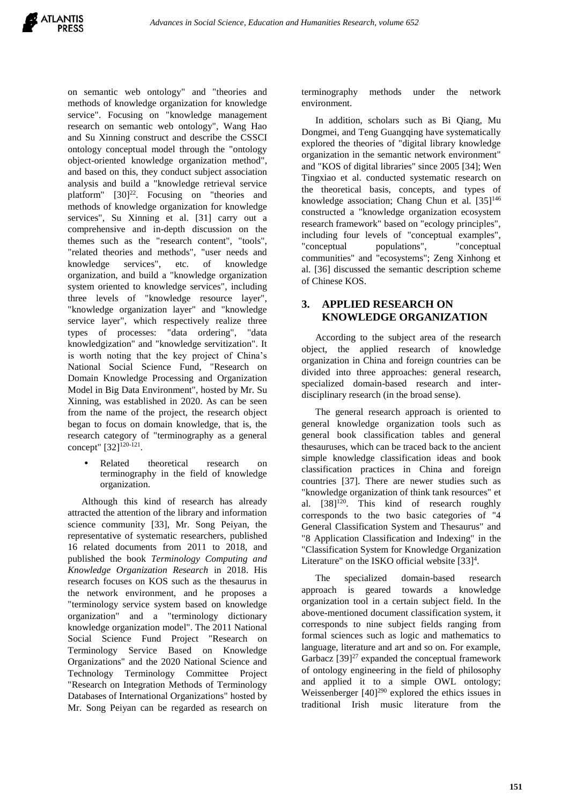on semantic web ontology" and "theories and methods of knowledge organization for knowledge service". Focusing on "knowledge management research on semantic web ontology", Wang Hao and Su Xinning construct and describe the CSSCI ontology conceptual model through the "ontology object-oriented knowledge organization method", and based on this, they conduct subject association analysis and build a "knowledge retrieval service platform" [30]<sup>22</sup>. Focusing on "theories and methods of knowledge organization for knowledge services", Su Xinning et al. [31] carry out a comprehensive and in-depth discussion on the themes such as the "research content", "tools", "related theories and methods", "user needs and knowledge services", etc. of knowledge organization, and build a "knowledge organization system oriented to knowledge services", including three levels of "knowledge resource layer", "knowledge organization layer" and "knowledge service layer", which respectively realize three types of processes: "data ordering", "data knowledgization" and "knowledge servitization". It is worth noting that the key project of China's National Social Science Fund, "Research on Domain Knowledge Processing and Organization Model in Big Data Environment", hosted by Mr. Su Xinning, was established in 2020. As can be seen from the name of the project, the research object began to focus on domain knowledge, that is, the research category of "terminography as a general concept" [32]<sup>120-121</sup>.

 Related theoretical research on terminography in the field of knowledge organization.

Although this kind of research has already attracted the attention of the library and information science community [33], Mr. Song Peiyan, the representative of systematic researchers, published 16 related documents from 2011 to 2018, and published the book *Terminology Computing and Knowledge Organization Research* in 2018. His research focuses on KOS such as the thesaurus in the network environment, and he proposes a "terminology service system based on knowledge organization" and a "terminology dictionary knowledge organization model". The 2011 National Social Science Fund Project "Research on Terminology Service Based on Knowledge Organizations" and the 2020 National Science and Technology Terminology Committee Project "Research on Integration Methods of Terminology Databases of International Organizations" hosted by Mr. Song Peiyan can be regarded as research on

terminography methods under the network environment.

In addition, scholars such as Bi Qiang, Mu Dongmei, and Teng Guangqing have systematically explored the theories of "digital library knowledge organization in the semantic network environment" and "KOS of digital libraries" since 2005 [34]; Wen Tingxiao et al. conducted systematic research on the theoretical basis, concepts, and types of knowledge association; Chang Chun et al.  $[35]^{146}$ constructed a "knowledge organization ecosystem research framework" based on "ecology principles", including four levels of "conceptual examples", "conceptual populations", "conceptual communities" and "ecosystems"; Zeng Xinhong et al. [36] discussed the semantic description scheme of Chinese KOS.

## **3. APPLIED RESEARCH ON KNOWLEDGE ORGANIZATION**

According to the subject area of the research object, the applied research of knowledge organization in China and foreign countries can be divided into three approaches: general research, specialized domain-based research and interdisciplinary research (in the broad sense).

The general research approach is oriented to general knowledge organization tools such as general book classification tables and general thesauruses, which can be traced back to the ancient simple knowledge classification ideas and book classification practices in China and foreign countries [37]. There are newer studies such as "knowledge organization of think tank resources" et al. [38]<sup>120</sup>. This kind of research roughly corresponds to the two basic categories of "4 General Classification System and Thesaurus" and "8 Application Classification and Indexing" in the "Classification System for Knowledge Organization Literature" on the ISKO official website  $[33]^4$ .

The specialized domain-based research approach is geared towards a knowledge organization tool in a certain subject field. In the above-mentioned document classification system, it corresponds to nine subject fields ranging from formal sciences such as logic and mathematics to language, literature and art and so on. For example, Garbacz  $[39]^{27}$  expanded the conceptual framework of ontology engineering in the field of philosophy and applied it to a simple OWL ontology; Weissenberger  $[40]^{290}$  explored the ethics issues in traditional Irish music literature from the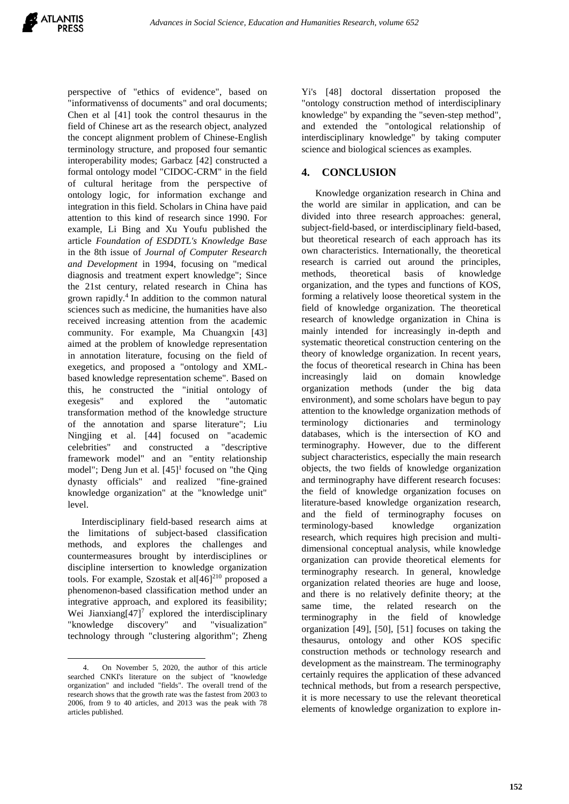perspective of "ethics of evidence", based on "informativenss of documents" and oral documents; Chen et al [41] took the control thesaurus in the field of Chinese art as the research object, analyzed the concept alignment problem of Chinese-English terminology structure, and proposed four semantic interoperability modes; Garbacz [42] constructed a formal ontology model "CIDOC-CRM" in the field of cultural heritage from the perspective of ontology logic, for information exchange and integration in this field. Scholars in China have paid attention to this kind of research since 1990. For example, Li Bing and Xu Youfu published the article *Foundation of ESDDTL's Knowledge Base* in the 8th issue of *Journal of Computer Research and Development* in 1994, focusing on "medical diagnosis and treatment expert knowledge"; Since the 21st century, related research in China has grown rapidly.<sup>4</sup> In addition to the common natural sciences such as medicine, the humanities have also received increasing attention from the academic community. For example, Ma Chuangxin [43] aimed at the problem of knowledge representation in annotation literature, focusing on the field of exegetics, and proposed a "ontology and XMLbased knowledge representation scheme". Based on this, he constructed the "initial ontology of exegesis" and explored the "automatic transformation method of the knowledge structure of the annotation and sparse literature"; Liu Ningjing et al. [44] focused on "academic celebrities" and constructed a "descriptive framework model" and an "entity relationship model"; Deng Jun et al. [45]<sup>1</sup> focused on "the Qing dynasty officials" and realized "fine-grained knowledge organization" at the "knowledge unit" level.

Interdisciplinary field-based research aims at the limitations of subject-based classification methods, and explores the challenges and countermeasures brought by interdisciplines or discipline intersertion to knowledge organization tools. For example, Szostak et al[46] <sup>210</sup> proposed a phenomenon-based classification method under an integrative approach, and explored its feasibility; Wei Jianxiang $[47]$ <sup>7</sup> explored the interdisciplinary "knowledge discovery" and "visualization" technology through "clustering algorithm"; Zheng

Yi's [48] doctoral dissertation proposed the "ontology construction method of interdisciplinary knowledge" by expanding the "seven-step method", and extended the "ontological relationship of interdisciplinary knowledge" by taking computer science and biological sciences as examples.

## **4. CONCLUSION**

Knowledge organization research in China and the world are similar in application, and can be divided into three research approaches: general, subject-field-based, or interdisciplinary field-based, but theoretical research of each approach has its own characteristics. Internationally, the theoretical research is carried out around the principles, methods, theoretical basis of knowledge organization, and the types and functions of KOS, forming a relatively loose theoretical system in the field of knowledge organization. The theoretical research of knowledge organization in China is mainly intended for increasingly in-depth and systematic theoretical construction centering on the theory of knowledge organization. In recent years, the focus of theoretical research in China has been increasingly laid on domain knowledge organization methods (under the big data environment), and some scholars have begun to pay attention to the knowledge organization methods of terminology dictionaries and terminology databases, which is the intersection of KO and terminography. However, due to the different subject characteristics, especially the main research objects, the two fields of knowledge organization and terminography have different research focuses: the field of knowledge organization focuses on literature-based knowledge organization research, and the field of terminography focuses on terminology-based knowledge organization research, which requires high precision and multidimensional conceptual analysis, while knowledge organization can provide theoretical elements for terminography research. In general, knowledge organization related theories are huge and loose, and there is no relatively definite theory; at the same time, the related research on the terminography in the field of knowledge organization [49], [50], [51] focuses on taking the thesaurus, ontology and other KOS specific construction methods or technology research and development as the mainstream. The terminography certainly requires the application of these advanced technical methods, but from a research perspective, it is more necessary to use the relevant theoretical elements of knowledge organization to explore in-

l 4. On November 5, 2020, the author of this article searched CNKI's literature on the subject of "knowledge organization" and included "fields". The overall trend of the research shows that the growth rate was the fastest from 2003 to 2006, from 9 to 40 articles, and 2013 was the peak with 78 articles published.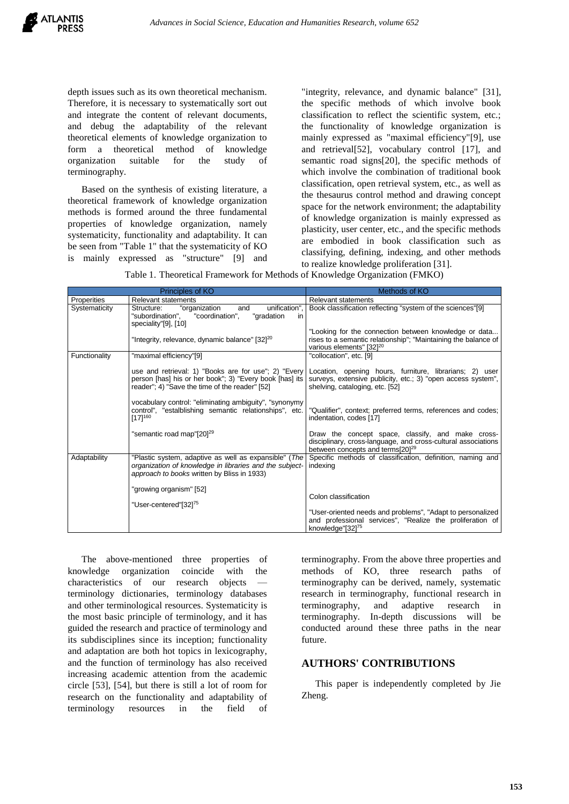depth issues such as its own theoretical mechanism. Therefore, it is necessary to systematically sort out and integrate the content of relevant documents, and debug the adaptability of the relevant theoretical elements of knowledge organization to form a theoretical method of knowledge organization suitable for the study of terminography.

Based on the synthesis of existing literature, a theoretical framework of knowledge organization methods is formed around the three fundamental properties of knowledge organization, namely systematicity, functionality and adaptability. It can be seen from "Table 1" that the systematicity of KO is mainly expressed as "structure" [9] and

"integrity, relevance, and dynamic balance" [31], the specific methods of which involve book classification to reflect the scientific system, etc.; the functionality of knowledge organization is mainly expressed as "maximal efficiency"[9], use and retrieval[52], vocabulary control [17], and semantic road signs[20], the specific methods of which involve the combination of traditional book classification, open retrieval system, etc., as well as the thesaurus control method and drawing concept space for the network environment; the adaptability of knowledge organization is mainly expressed as plasticity, user center, etc., and the specific methods are embodied in book classification such as classifying, defining, indexing, and other methods to realize knowledge proliferation [31].

|  |  | Table 1. Theoretical Framework for Methods of Knowledge Organization (FMKO) |  |
|--|--|-----------------------------------------------------------------------------|--|

|               | Principles of KO                                                                                                                                                  | Methods of KO                                                                                                                                                      |  |  |
|---------------|-------------------------------------------------------------------------------------------------------------------------------------------------------------------|--------------------------------------------------------------------------------------------------------------------------------------------------------------------|--|--|
| Properities   | <b>Relevant statements</b>                                                                                                                                        | <b>Relevant statements</b>                                                                                                                                         |  |  |
| Systematicity | unification",<br>"organization<br>and<br>Structure:<br>"coordination",<br>"gradation<br>"subordination".<br>in.<br>speciality"[9], [10]                           | Book classification reflecting "system of the sciences"[9]                                                                                                         |  |  |
|               | "Integrity, relevance, dynamic balance" [32] <sup>20</sup>                                                                                                        | "Looking for the connection between knowledge or data<br>rises to a semantic relationship"; "Maintaining the balance of<br>various elements" [32] <sup>20</sup>    |  |  |
| Functionality | "maximal efficiency"[9]                                                                                                                                           | "collocation", etc. [9]                                                                                                                                            |  |  |
|               | use and retrieval: 1) "Books are for use"; 2) "Every<br>person [has] his or her book"; 3) "Every book [has] its<br>reader"; 4) "Save the time of the reader" [52] | Location, opening hours, furniture, librarians; 2) user<br>surveys, extensive publicity, etc.; 3) "open access system",<br>shelving, cataloging, etc. [52]         |  |  |
|               | vocabulary control: "eliminating ambiguity", "synonymy<br>control", "estalblishing semantic relationships", etc.<br>$[17]^{160}$                                  | "Qualifier", context; preferred terms, references and codes;<br>indentation, codes [17]                                                                            |  |  |
|               | "semantic road map"[20] <sup>29</sup>                                                                                                                             | Draw the concept space, classify, and make cross-<br>disciplinary, cross-language, and cross-cultural associations<br>between concepts and terms[20] <sup>29</sup> |  |  |
| Adaptability  | "Plastic system, adaptive as well as expansible" (The<br>organization of knowledge in libraries and the subject-<br>approach to books written by Bliss in 1933)   | Specific methods of classification, definition, naming and<br>indexing                                                                                             |  |  |
|               | "growing organism" [52]                                                                                                                                           |                                                                                                                                                                    |  |  |
|               | "User-centered"[32] <sup>75</sup>                                                                                                                                 | Colon classification                                                                                                                                               |  |  |
|               |                                                                                                                                                                   | "User-oriented needs and problems", "Adapt to personalized                                                                                                         |  |  |
|               |                                                                                                                                                                   | and professional services", "Realize the proliferation of<br>knowledge"[32] <sup>75</sup>                                                                          |  |  |

The above-mentioned three properties of knowledge organization coincide with the characteristics of our research objects terminology dictionaries, terminology databases and other terminological resources. Systematicity is the most basic principle of terminology, and it has guided the research and practice of terminology and its subdisciplines since its inception; functionality and adaptation are both hot topics in lexicography, and the function of terminology has also received increasing academic attention from the academic circle [53], [54], but there is still a lot of room for research on the functionality and adaptability of terminology resources in the field of

terminography. From the above three properties and methods of KO, three research paths of terminography can be derived, namely, systematic research in terminography, functional research in terminography, and adaptive research in terminography. In-depth discussions will be conducted around these three paths in the near future.

## **AUTHORS' CONTRIBUTIONS**

This paper is independently completed by Jie Zheng.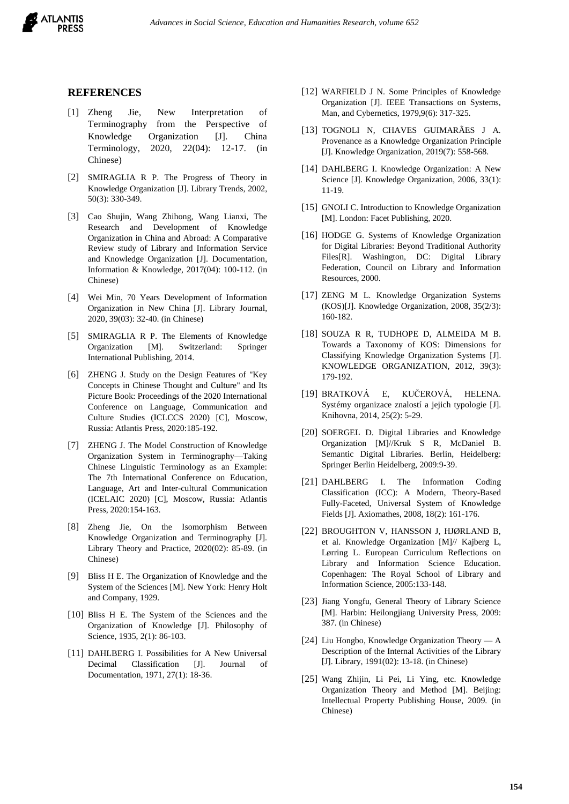

### **REFERENCES**

- [1] Zheng Jie, New Interpretation of Terminography from the Perspective of Knowledge Organization [J]. China Terminology, 2020, 22(04): 12-17. (in Chinese)
- [2] SMIRAGLIA R P. The Progress of Theory in Knowledge Organization [J]. Library Trends, 2002, 50(3): 330-349.
- [3] Cao Shujin, Wang Zhihong, Wang Lianxi, The Research and Development of Knowledge Organization in China and Abroad: A Comparative Review study of Library and Information Service and Knowledge Organization [J]. Documentation, Information & Knowledge, 2017(04): 100-112. (in Chinese)
- [4] Wei Min, 70 Years Development of Information Organization in New China [J]. Library Journal, 2020, 39(03): 32-40. (in Chinese)
- [5] SMIRAGLIA R P. The Elements of Knowledge Organization [M]. Switzerland: Springer International Publishing, 2014.
- [6] ZHENG J. Study on the Design Features of "Key Concepts in Chinese Thought and Culture" and Its Picture Book: Proceedings of the 2020 International Conference on Language, Communication and Culture Studies (ICLCCS 2020) [C], Moscow, Russia: Atlantis Press, 2020:185-192.
- [7] ZHENG J. The Model Construction of Knowledge Organization System in Terminography—Taking Chinese Linguistic Terminology as an Example: The 7th International Conference on Education, Language, Art and Inter-cultural Communication (ICELAIC 2020) [C], Moscow, Russia: Atlantis Press, 2020:154-163.
- [8] Zheng Jie, On the Isomorphism Between Knowledge Organization and Terminography [J]. Library Theory and Practice, 2020(02): 85-89. (in Chinese)
- [9] Bliss H E. The Organization of Knowledge and the System of the Sciences [M]. New York: Henry Holt and Company, 1929.
- [10] Bliss H E. The System of the Sciences and the Organization of Knowledge [J]. Philosophy of Science, 1935, 2(1): 86-103.
- [11] DAHLBERG I. Possibilities for A New Universal Decimal Classification [J]. Journal of Documentation, 1971, 27(1): 18-36.
- [12] WARFIELD J N. Some Principles of Knowledge Organization [J]. IEEE Transactions on Systems, Man, and Cybernetics, 1979,9(6): 317-325.
- [13] TOGNOLI N, CHAVES GUIMARÃES J A. Provenance as a Knowledge Organization Principle [J]. Knowledge Organization, 2019(7): 558-568.
- [14] DAHLBERG I. Knowledge Organization: A New Science [J]. Knowledge Organization, 2006, 33(1): 11-19.
- [15] GNOLI C. Introduction to Knowledge Organization [M]. London: Facet Publishing, 2020.
- [16] HODGE G. Systems of Knowledge Organization for Digital Libraries: Beyond Traditional Authority Files[R]. Washington, DC: Digital Library Federation, Council on Library and Information Resources, 2000.
- [17] ZENG M L. Knowledge Organization Systems (KOS)[J]. Knowledge Organization, 2008, 35(2/3): 160-182.
- [18] SOUZA R R, TUDHOPE D, ALMEIDA M B. Towards a Taxonomy of KOS: Dimensions for Classifying Knowledge Organization Systems [J]. KNOWLEDGE ORGANIZATION, 2012, 39(3): 179-192.
- [19] BRATKOVÁ E, KUČEROVÁ, HELENA. Systémy organizace znalostí a jejich typologie [J]. Knihovna, 2014, 25(2): 5-29.
- [20] SOERGEL D. Digital Libraries and Knowledge Organization [M]//Kruk S R, McDaniel B. Semantic Digital Libraries. Berlin, Heidelberg: Springer Berlin Heidelberg, 2009:9-39.
- [21] DAHLBERG I. The Information Coding Classification (ICC): A Modern, Theory-Based Fully-Faceted, Universal System of Knowledge Fields [J]. Axiomathes, 2008, 18(2): 161-176.
- [22] BROUGHTON V, HANSSON J, HJØRLAND B, et al. Knowledge Organization [M]// Kajberg L, Lørring L. European Curriculum Reflections on Library and Information Science Education. Copenhagen: The Royal School of Library and Information Science, 2005:133-148.
- [23] Jiang Yongfu, General Theory of Library Science [M]. Harbin: Heilongjiang University Press, 2009: 387. (in Chinese)
- [24] Liu Hongbo, Knowledge Organization Theory A Description of the Internal Activities of the Library [J]. Library, 1991(02): 13-18. (in Chinese)
- [25] Wang Zhijin, Li Pei, Li Ying, etc. Knowledge Organization Theory and Method [M]. Beijing: Intellectual Property Publishing House, 2009. (in Chinese)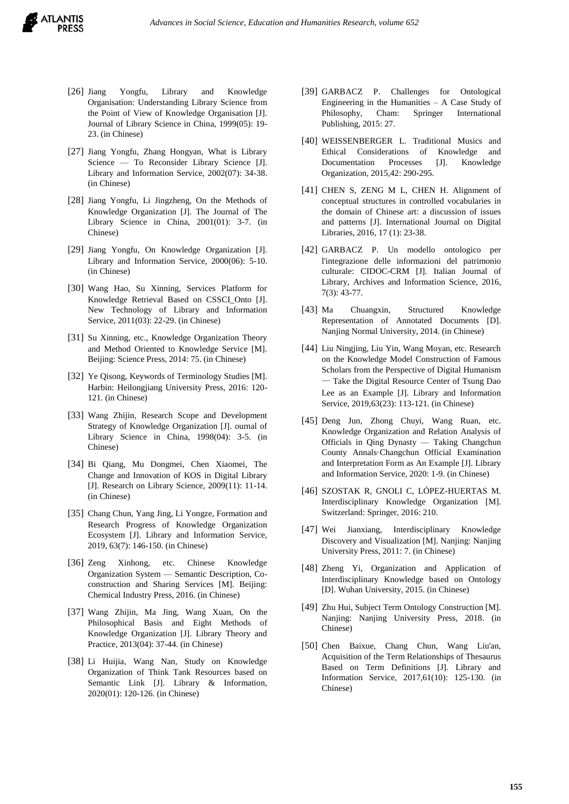- [26] Jiang Yongfu, Library and Knowledge Organisation: Understanding Library Science from the Point of View of Knowledge Organisation [J]. Journal of Library Science in China, 1999(05): 19- 23. (in Chinese)
- [27] Jiang Yongfu, Zhang Hongyan, What is Library Science — To Reconsider Library Science [J]. Library and Information Service, 2002(07): 34-38. (in Chinese)
- [28] Jiang Yongfu, Li Jingzheng, On the Methods of Knowledge Organization [J]. The Journal of The Library Science in China, 2001(01): 3-7. (in Chinese)
- [29] Jiang Yongfu, On Knowledge Organization [J]. Library and Information Service, 2000(06): 5-10. (in Chinese)
- [30] Wang Hao, Su Xinning, Services Platform for Knowledge Retrieval Based on CSSCI\_Onto [J]. New Technology of Library and Information Service, 2011(03): 22-29. (in Chinese)
- [31] Su Xinning, etc., Knowledge Organization Theory and Method Oriented to Knowledge Service [M]. Beijing: Science Press, 2014: 75. (in Chinese)
- [32] Ye Qisong, Keywords of Terminology Studies [M]. Harbin: Heilongjiang University Press, 2016: 120- 121. (in Chinese)
- [33] Wang Zhijin, Research Scope and Development Strategy of Knowledge Organization [J]. ournal of Library Science in China, 1998(04): 3-5. (in Chinese)
- [34] Bi Qiang, Mu Dongmei, Chen Xiaomei, The Change and Innovation of KOS in Digital Library [J]. Research on Library Science, 2009(11): 11-14. (in Chinese)
- [35] Chang Chun, Yang Jing, Li Yongze, Formation and Research Progress of Knowledge Organization Ecosystem [J]. Library and Information Service, 2019, 63(7): 146-150. (in Chinese)
- [36] Zeng Xinhong, etc. Chinese Knowledge Organization System — Semantic Description, Coconstruction and Sharing Services [M]. Beijing: Chemical Industry Press, 2016. (in Chinese)
- [37] Wang Zhijin, Ma Jing, Wang Xuan, On the Philosophical Basis and Eight Methods of Knowledge Organization [J]. Library Theory and Practice, 2013(04): 37-44. (in Chinese)
- [38] Li Huijia, Wang Nan, Study on Knowledge Organization of Think Tank Resources based on Semantic Link [J]. Library & Information, 2020(01): 120-126. (in Chinese)
- [39] GARBACZ P. Challenges for Ontological Engineering in the Humanities – A Case Study of Philosophy, Cham: Springer International Publishing, 2015: 27.
- [40] WEISSENBERGER L. Traditional Musics and Ethical Considerations of Knowledge and Documentation Processes [J]. Knowledge Organization, 2015,42: 290-295.
- [41] CHEN S, ZENG M L, CHEN H. Alignment of conceptual structures in controlled vocabularies in the domain of Chinese art: a discussion of issues and patterns [J]. International Journal on Digital Libraries, 2016, 17 (1): 23-38.
- [42] GARBACZ P. Un modello ontologico per l'integrazione delle informazioni del patrimonio culturale: CIDOC-CRM [J]. Italian Journal of Library, Archives and Information Science, 2016, 7(3): 43-77.
- [43] Ma Chuangxin, Structured Knowledge Representation of Annotated Documents [D]. Nanjing Normal University, 2014. (in Chinese)
- [44] Liu Ningjing, Liu Yin, Wang Moyan, etc. Research on the Knowledge Model Construction of Famous Scholars from the Perspective of Digital Humanism — Take the Digital Resource Center of Tsung Dao Lee as an Example [J]. Library and Information Service, 2019,63(23): 113-121. (in Chinese)
- [45] Deng Jun, Zhong Chuyi, Wang Ruan, etc. Knowledge Organization and Relation Analysis of Officials in Qing Dynasty — Taking Changchun County Annals·Changchun Official Examination and Interpretation Form as An Example [J]. Library and Information Service, 2020: 1-9. (in Chinese)
- [46] SZOSTAK R, GNOLI C, LÓPEZ-HUERTAS M. Interdisciplinary Knowledge Organization [M]. Switzerland: Springer, 2016: 210.
- [47] Wei Jianxiang, Interdisciplinary Knowledge Discovery and Visualization [M]. Nanjing: Nanjing University Press, 2011: 7. (in Chinese)
- [48] Zheng Yi, Organization and Application of Interdisciplinary Knowledge based on Ontology [D]. Wuhan University, 2015. (in Chinese)
- [49] Zhu Hui, Subject Term Ontology Construction [M]. Nanjing: Nanjing University Press, 2018. (in Chinese)
- [50] Chen Baixue, Chang Chun, Wang Liu'an, Acquisition of the Term Relationships of Thesaurus Based on Term Definitions [J]. Library and Information Service, 2017,61(10): 125-130. (in Chinese)